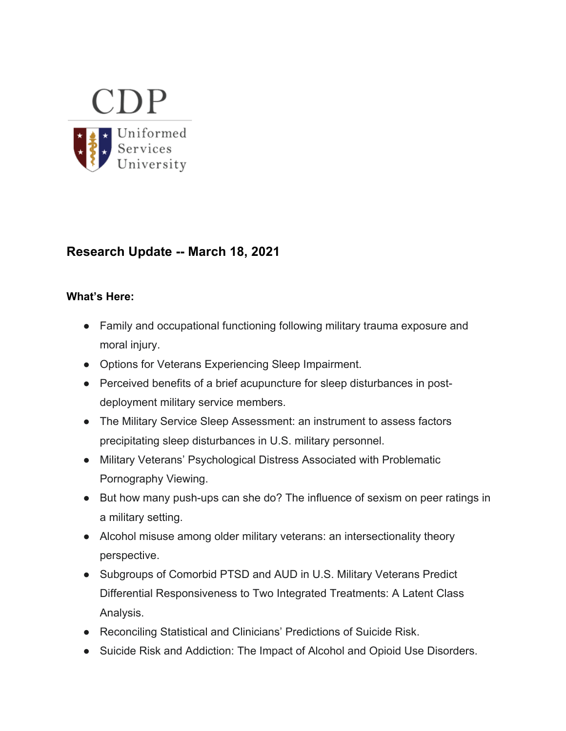

# **Research Update -- March 18, 2021**

#### **What's Here:**

- Family and occupational functioning following military trauma exposure and moral injury.
- Options for Veterans Experiencing Sleep Impairment.
- Perceived benefits of a brief acupuncture for sleep disturbances in postdeployment military service members.
- The Military Service Sleep Assessment: an instrument to assess factors precipitating sleep disturbances in U.S. military personnel.
- Military Veterans' Psychological Distress Associated with Problematic Pornography Viewing.
- But how many push-ups can she do? The influence of sexism on peer ratings in a military setting.
- Alcohol misuse among older military veterans: an intersectionality theory perspective.
- Subgroups of Comorbid PTSD and AUD in U.S. Military Veterans Predict Differential Responsiveness to Two Integrated Treatments: A Latent Class Analysis.
- Reconciling Statistical and Clinicians' Predictions of Suicide Risk.
- Suicide Risk and Addiction: The Impact of Alcohol and Opioid Use Disorders.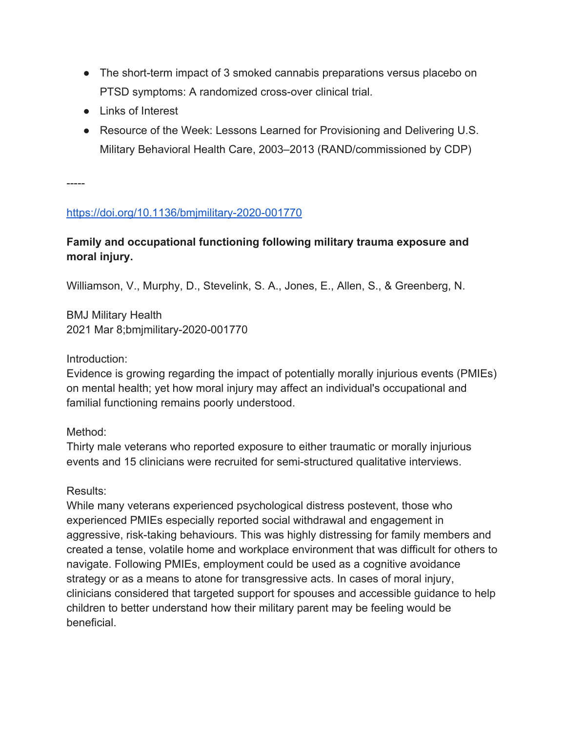- The short-term impact of 3 smoked cannabis preparations versus placebo on PTSD symptoms: A randomized cross-over clinical trial.
- Links of Interest
- Resource of the Week: Lessons Learned for Provisioning and Delivering U.S. Military Behavioral Health Care, 2003–2013 (RAND/commissioned by CDP)

-----

### https://doi.org/10.1136/bmjmilitary-2020-001770

# **Family and occupational functioning following military trauma exposure and moral injury.**

Williamson, V., Murphy, D., Stevelink, S. A., Jones, E., Allen, S., & Greenberg, N.

BMJ Military Health 2021 Mar 8;bmjmilitary-2020-001770

Introduction:

Evidence is growing regarding the impact of potentially morally injurious events (PMIEs) on mental health; yet how moral injury may affect an individual's occupational and familial functioning remains poorly understood.

### Method:

Thirty male veterans who reported exposure to either traumatic or morally injurious events and 15 clinicians were recruited for semi-structured qualitative interviews.

### Results:

While many veterans experienced psychological distress postevent, those who experienced PMIEs especially reported social withdrawal and engagement in aggressive, risk-taking behaviours. This was highly distressing for family members and created a tense, volatile home and workplace environment that was difficult for others to navigate. Following PMIEs, employment could be used as a cognitive avoidance strategy or as a means to atone for transgressive acts. In cases of moral injury, clinicians considered that targeted support for spouses and accessible guidance to help children to better understand how their military parent may be feeling would be beneficial.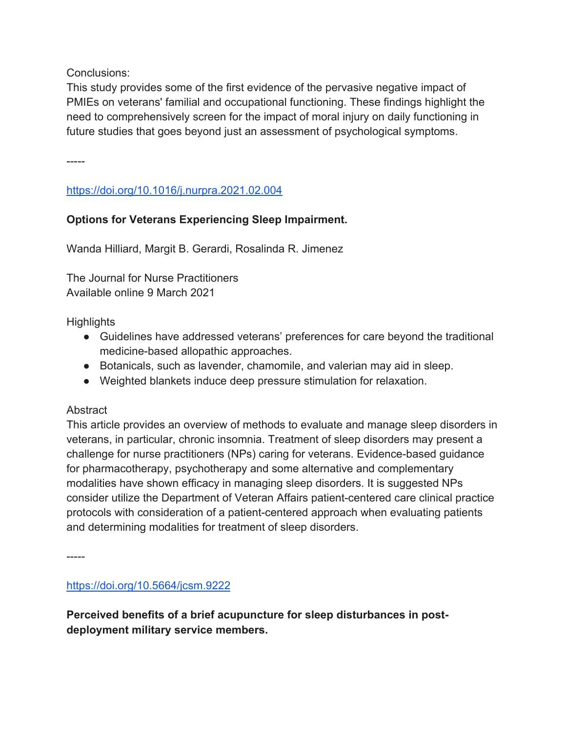Conclusions:

This study provides some of the first evidence of the pervasive negative impact of PMIEs on veterans' familial and occupational functioning. These findings highlight the need to comprehensively screen for the impact of moral injury on daily functioning in future studies that goes beyond just an assessment of psychological symptoms.

-----

https://doi.org/10.1016/j.nurpra.2021.02.004

# **Options for Veterans Experiencing Sleep Impairment.**

Wanda Hilliard, Margit B. Gerardi, Rosalinda R. Jimenez

The Journal for Nurse Practitioners Available online 9 March 2021

**Highlights** 

- Guidelines have addressed veterans' preferences for care beyond the traditional medicine-based allopathic approaches.
- Botanicals, such as lavender, chamomile, and valerian may aid in sleep.
- Weighted blankets induce deep pressure stimulation for relaxation.

### **Abstract**

This article provides an overview of methods to evaluate and manage sleep disorders in veterans, in particular, chronic insomnia. Treatment of sleep disorders may present a challenge for nurse practitioners (NPs) caring for veterans. Evidence-based guidance for pharmacotherapy, psychotherapy and some alternative and complementary modalities have shown efficacy in managing sleep disorders. It is suggested NPs consider utilize the Department of Veteran Affairs patient-centered care clinical practice protocols with consideration of a patient-centered approach when evaluating patients and determining modalities for treatment of sleep disorders.

-----

https://doi.org/10.5664/jcsm.9222

**Perceived benefits of a brief acupuncture for sleep disturbances in postdeployment military service members.**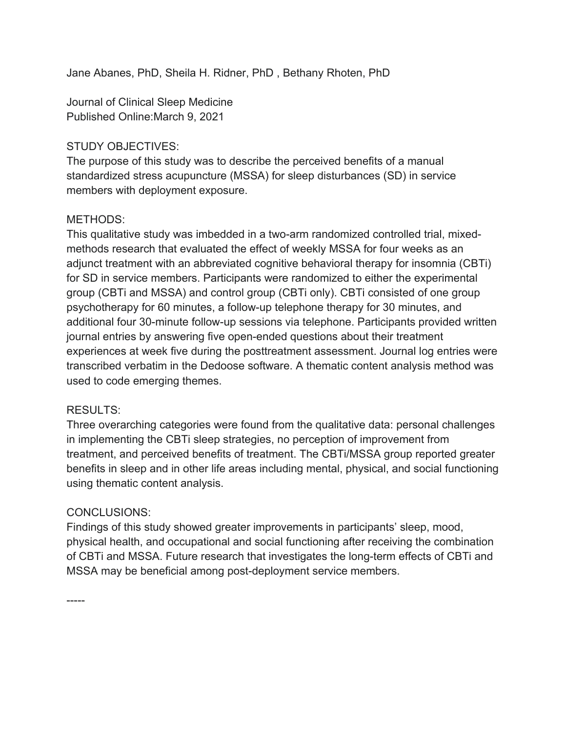Jane Abanes, PhD, Sheila H. Ridner, PhD , Bethany Rhoten, PhD

Journal of Clinical Sleep Medicine Published Online:March 9, 2021

### STUDY OBJECTIVES:

The purpose of this study was to describe the perceived benefits of a manual standardized stress acupuncture (MSSA) for sleep disturbances (SD) in service members with deployment exposure.

### METHODS:

This qualitative study was imbedded in a two-arm randomized controlled trial, mixedmethods research that evaluated the effect of weekly MSSA for four weeks as an adjunct treatment with an abbreviated cognitive behavioral therapy for insomnia (CBTi) for SD in service members. Participants were randomized to either the experimental group (CBTi and MSSA) and control group (CBTi only). CBTi consisted of one group psychotherapy for 60 minutes, a follow-up telephone therapy for 30 minutes, and additional four 30-minute follow-up sessions via telephone. Participants provided written journal entries by answering five open-ended questions about their treatment experiences at week five during the posttreatment assessment. Journal log entries were transcribed verbatim in the Dedoose software. A thematic content analysis method was used to code emerging themes.

### RESULTS:

Three overarching categories were found from the qualitative data: personal challenges in implementing the CBTi sleep strategies, no perception of improvement from treatment, and perceived benefits of treatment. The CBTi/MSSA group reported greater benefits in sleep and in other life areas including mental, physical, and social functioning using thematic content analysis.

### CONCLUSIONS:

Findings of this study showed greater improvements in participants' sleep, mood, physical health, and occupational and social functioning after receiving the combination of CBTi and MSSA. Future research that investigates the long-term effects of CBTi and MSSA may be beneficial among post-deployment service members.

-----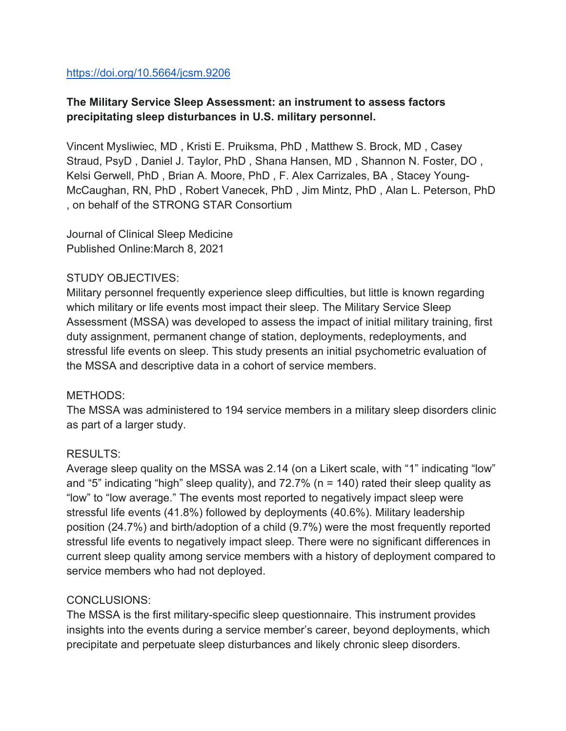#### https://doi.org/10.5664/jcsm.9206

# **The Military Service Sleep Assessment: an instrument to assess factors precipitating sleep disturbances in U.S. military personnel.**

Vincent Mysliwiec, MD , Kristi E. Pruiksma, PhD , Matthew S. Brock, MD , Casey Straud, PsyD , Daniel J. Taylor, PhD , Shana Hansen, MD , Shannon N. Foster, DO , Kelsi Gerwell, PhD , Brian A. Moore, PhD , F. Alex Carrizales, BA , Stacey Young-McCaughan, RN, PhD , Robert Vanecek, PhD , Jim Mintz, PhD , Alan L. Peterson, PhD , on behalf of the STRONG STAR Consortium

Journal of Clinical Sleep Medicine Published Online:March 8, 2021

#### STUDY OBJECTIVES:

Military personnel frequently experience sleep difficulties, but little is known regarding which military or life events most impact their sleep. The Military Service Sleep Assessment (MSSA) was developed to assess the impact of initial military training, first duty assignment, permanent change of station, deployments, redeployments, and stressful life events on sleep. This study presents an initial psychometric evaluation of the MSSA and descriptive data in a cohort of service members.

#### METHODS:

The MSSA was administered to 194 service members in a military sleep disorders clinic as part of a larger study.

### RESULTS:

Average sleep quality on the MSSA was 2.14 (on a Likert scale, with "1" indicating "low" and "5" indicating "high" sleep quality), and  $72.7\%$  (n = 140) rated their sleep quality as "low" to "low average." The events most reported to negatively impact sleep were stressful life events (41.8%) followed by deployments (40.6%). Military leadership position (24.7%) and birth/adoption of a child (9.7%) were the most frequently reported stressful life events to negatively impact sleep. There were no significant differences in current sleep quality among service members with a history of deployment compared to service members who had not deployed.

#### CONCLUSIONS:

The MSSA is the first military-specific sleep questionnaire. This instrument provides insights into the events during a service member's career, beyond deployments, which precipitate and perpetuate sleep disturbances and likely chronic sleep disorders.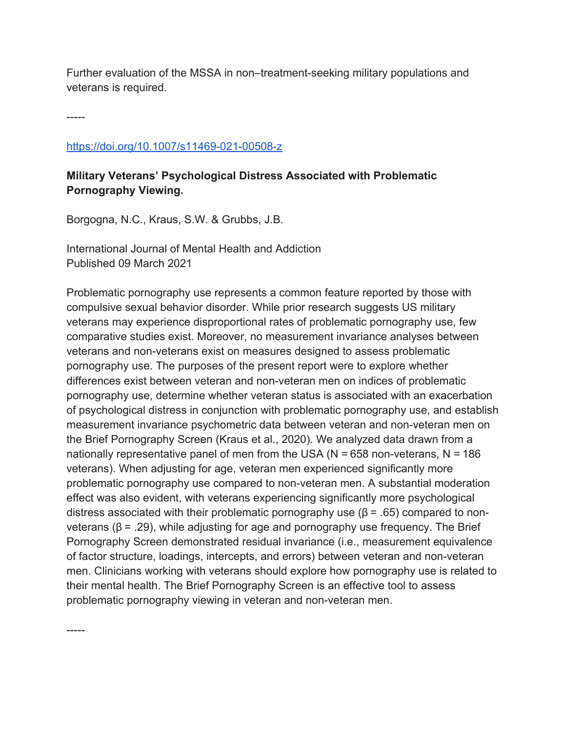Further evaluation of the MSSA in non–treatment-seeking military populations and veterans is required.

-----

-----

#### https://doi.org/10.1007/s11469-021-00508-z

# **Military Veterans' Psychological Distress Associated with Problematic Pornography Viewing.**

Borgogna, N.C., Kraus, S.W. & Grubbs, J.B.

International Journal of Mental Health and Addiction Published 09 March 2021

Problematic pornography use represents a common feature reported by those with compulsive sexual behavior disorder. While prior research suggests US military veterans may experience disproportional rates of problematic pornography use, few comparative studies exist. Moreover, no measurement invariance analyses between veterans and non-veterans exist on measures designed to assess problematic pornography use. The purposes of the present report were to explore whether differences exist between veteran and non-veteran men on indices of problematic pornography use, determine whether veteran status is associated with an exacerbation of psychological distress in conjunction with problematic pornography use, and establish measurement invariance psychometric data between veteran and non-veteran men on the Brief Pornography Screen (Kraus et al., 2020). We analyzed data drawn from a nationally representative panel of men from the USA ( $N = 658$  non-veterans,  $N = 186$ ) veterans). When adjusting for age, veteran men experienced significantly more problematic pornography use compared to non-veteran men. A substantial moderation effect was also evident, with veterans experiencing significantly more psychological distress associated with their problematic pornography use (β = .65) compared to nonveterans ( $β = .29$ ), while adjusting for age and pornography use frequency. The Brief Pornography Screen demonstrated residual invariance (i.e., measurement equivalence of factor structure, loadings, intercepts, and errors) between veteran and non-veteran men. Clinicians working with veterans should explore how pornography use is related to their mental health. The Brief Pornography Screen is an effective tool to assess problematic pornography viewing in veteran and non-veteran men.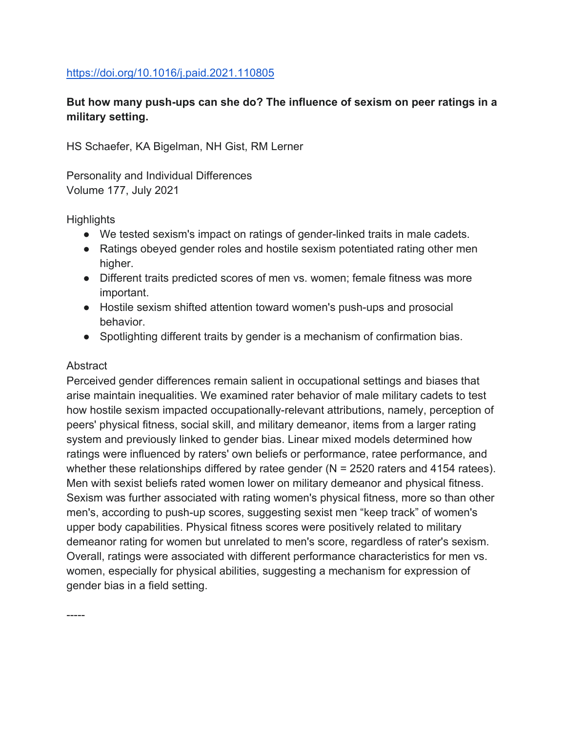#### https://doi.org/10.1016/j.paid.2021.110805

# **But how many push-ups can she do? The influence of sexism on peer ratings in a military setting.**

HS Schaefer, KA Bigelman, NH Gist, RM Lerner

Personality and Individual Differences Volume 177, July 2021

#### **Highlights**

- We tested sexism's impact on ratings of gender-linked traits in male cadets.
- Ratings obeyed gender roles and hostile sexism potentiated rating other men higher.
- Different traits predicted scores of men vs. women; female fitness was more important.
- Hostile sexism shifted attention toward women's push-ups and prosocial behavior.
- Spotlighting different traits by gender is a mechanism of confirmation bias.

#### Abstract

-----

Perceived gender differences remain salient in occupational settings and biases that arise maintain inequalities. We examined rater behavior of male military cadets to test how hostile sexism impacted occupationally-relevant attributions, namely, perception of peers' physical fitness, social skill, and military demeanor, items from a larger rating system and previously linked to gender bias. Linear mixed models determined how ratings were influenced by raters' own beliefs or performance, ratee performance, and whether these relationships differed by ratee gender ( $N = 2520$  raters and 4154 ratees). Men with sexist beliefs rated women lower on military demeanor and physical fitness. Sexism was further associated with rating women's physical fitness, more so than other men's, according to push-up scores, suggesting sexist men "keep track" of women's upper body capabilities. Physical fitness scores were positively related to military demeanor rating for women but unrelated to men's score, regardless of rater's sexism. Overall, ratings were associated with different performance characteristics for men vs. women, especially for physical abilities, suggesting a mechanism for expression of gender bias in a field setting.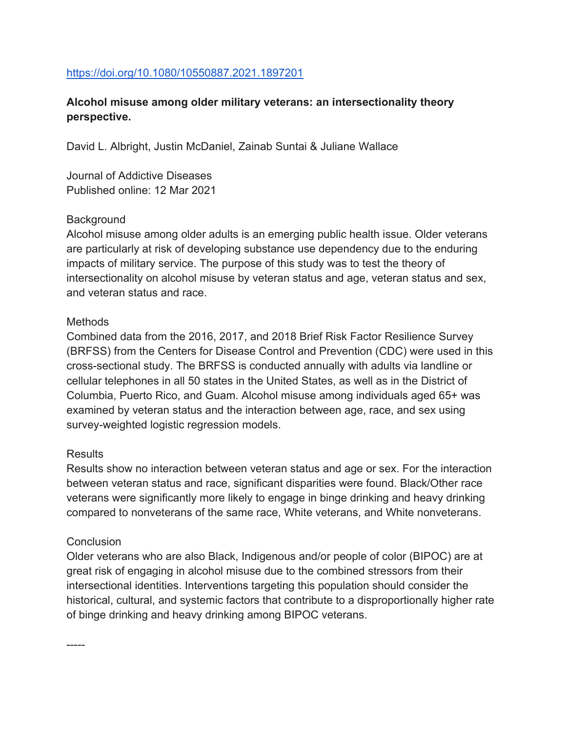#### https://doi.org/10.1080/10550887.2021.1897201

# **Alcohol misuse among older military veterans: an intersectionality theory perspective.**

David L. Albright, Justin McDaniel, Zainab Suntai & Juliane Wallace

Journal of Addictive Diseases Published online: 12 Mar 2021

#### **Background**

Alcohol misuse among older adults is an emerging public health issue. Older veterans are particularly at risk of developing substance use dependency due to the enduring impacts of military service. The purpose of this study was to test the theory of intersectionality on alcohol misuse by veteran status and age, veteran status and sex, and veteran status and race.

#### **Methods**

Combined data from the 2016, 2017, and 2018 Brief Risk Factor Resilience Survey (BRFSS) from the Centers for Disease Control and Prevention (CDC) were used in this cross-sectional study. The BRFSS is conducted annually with adults via landline or cellular telephones in all 50 states in the United States, as well as in the District of Columbia, Puerto Rico, and Guam. Alcohol misuse among individuals aged 65+ was examined by veteran status and the interaction between age, race, and sex using survey-weighted logistic regression models.

### Results

Results show no interaction between veteran status and age or sex. For the interaction between veteran status and race, significant disparities were found. Black/Other race veterans were significantly more likely to engage in binge drinking and heavy drinking compared to nonveterans of the same race, White veterans, and White nonveterans.

#### **Conclusion**

Older veterans who are also Black, Indigenous and/or people of color (BIPOC) are at great risk of engaging in alcohol misuse due to the combined stressors from their intersectional identities. Interventions targeting this population should consider the historical, cultural, and systemic factors that contribute to a disproportionally higher rate of binge drinking and heavy drinking among BIPOC veterans.

-----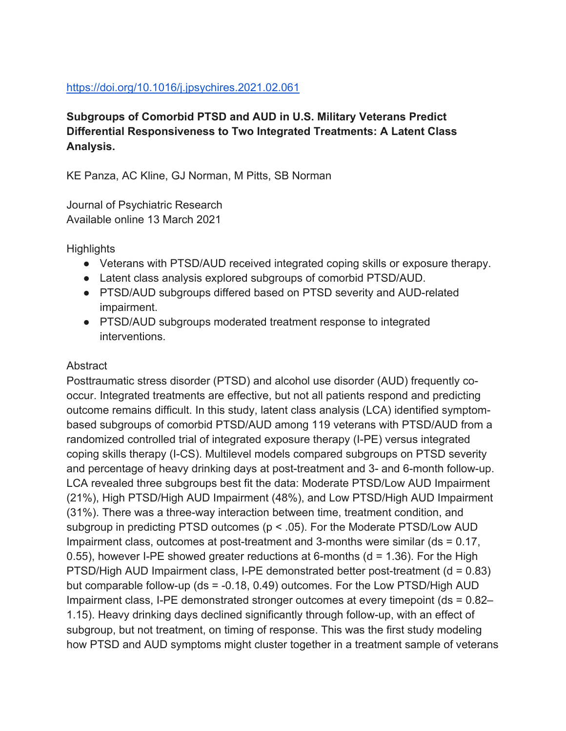### https://doi.org/10.1016/j.jpsychires.2021.02.061

**Subgroups of Comorbid PTSD and AUD in U.S. Military Veterans Predict Differential Responsiveness to Two Integrated Treatments: A Latent Class Analysis.**

KE Panza, AC Kline, GJ Norman, M Pitts, SB Norman

Journal of Psychiatric Research Available online 13 March 2021

**Highlights** 

- Veterans with PTSD/AUD received integrated coping skills or exposure therapy.
- Latent class analysis explored subgroups of comorbid PTSD/AUD.
- PTSD/AUD subgroups differed based on PTSD severity and AUD-related impairment.
- PTSD/AUD subgroups moderated treatment response to integrated interventions.

# Abstract

Posttraumatic stress disorder (PTSD) and alcohol use disorder (AUD) frequently cooccur. Integrated treatments are effective, but not all patients respond and predicting outcome remains difficult. In this study, latent class analysis (LCA) identified symptombased subgroups of comorbid PTSD/AUD among 119 veterans with PTSD/AUD from a randomized controlled trial of integrated exposure therapy (I-PE) versus integrated coping skills therapy (I-CS). Multilevel models compared subgroups on PTSD severity and percentage of heavy drinking days at post-treatment and 3- and 6-month follow-up. LCA revealed three subgroups best fit the data: Moderate PTSD/Low AUD Impairment (21%), High PTSD/High AUD Impairment (48%), and Low PTSD/High AUD Impairment (31%). There was a three-way interaction between time, treatment condition, and subgroup in predicting PTSD outcomes (p < .05). For the Moderate PTSD/Low AUD Impairment class, outcomes at post-treatment and 3-months were similar (ds = 0.17, 0.55), however I-PE showed greater reductions at 6-months ( $d = 1.36$ ). For the High PTSD/High AUD Impairment class, I-PE demonstrated better post-treatment (d = 0.83) but comparable follow-up (ds = -0.18, 0.49) outcomes. For the Low PTSD/High AUD Impairment class, I-PE demonstrated stronger outcomes at every timepoint (ds = 0.82– 1.15). Heavy drinking days declined significantly through follow-up, with an effect of subgroup, but not treatment, on timing of response. This was the first study modeling how PTSD and AUD symptoms might cluster together in a treatment sample of veterans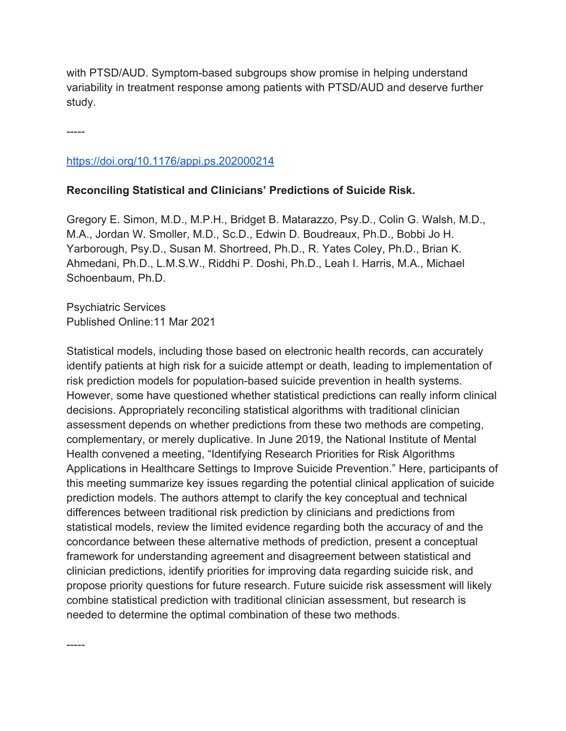with PTSD/AUD. Symptom-based subgroups show promise in helping understand variability in treatment response among patients with PTSD/AUD and deserve further study.

-----

-----

### https://doi.org/10.1176/appi.ps.202000214

### **Reconciling Statistical and Clinicians' Predictions of Suicide Risk.**

Gregory E. Simon, M.D., M.P.H., Bridget B. Matarazzo, Psy.D., Colin G. Walsh, M.D., M.A., Jordan W. Smoller, M.D., Sc.D., Edwin D. Boudreaux, Ph.D., Bobbi Jo H. Yarborough, Psy.D., Susan M. Shortreed, Ph.D., R. Yates Coley, Ph.D., Brian K. Ahmedani, Ph.D., L.M.S.W., Riddhi P. Doshi, Ph.D., Leah I. Harris, M.A., Michael Schoenbaum, Ph.D.

Psychiatric Services Published Online:11 Mar 2021

Statistical models, including those based on electronic health records, can accurately identify patients at high risk for a suicide attempt or death, leading to implementation of risk prediction models for population-based suicide prevention in health systems. However, some have questioned whether statistical predictions can really inform clinical decisions. Appropriately reconciling statistical algorithms with traditional clinician assessment depends on whether predictions from these two methods are competing, complementary, or merely duplicative. In June 2019, the National Institute of Mental Health convened a meeting, "Identifying Research Priorities for Risk Algorithms Applications in Healthcare Settings to Improve Suicide Prevention." Here, participants of this meeting summarize key issues regarding the potential clinical application of suicide prediction models. The authors attempt to clarify the key conceptual and technical differences between traditional risk prediction by clinicians and predictions from statistical models, review the limited evidence regarding both the accuracy of and the concordance between these alternative methods of prediction, present a conceptual framework for understanding agreement and disagreement between statistical and clinician predictions, identify priorities for improving data regarding suicide risk, and propose priority questions for future research. Future suicide risk assessment will likely combine statistical prediction with traditional clinician assessment, but research is needed to determine the optimal combination of these two methods.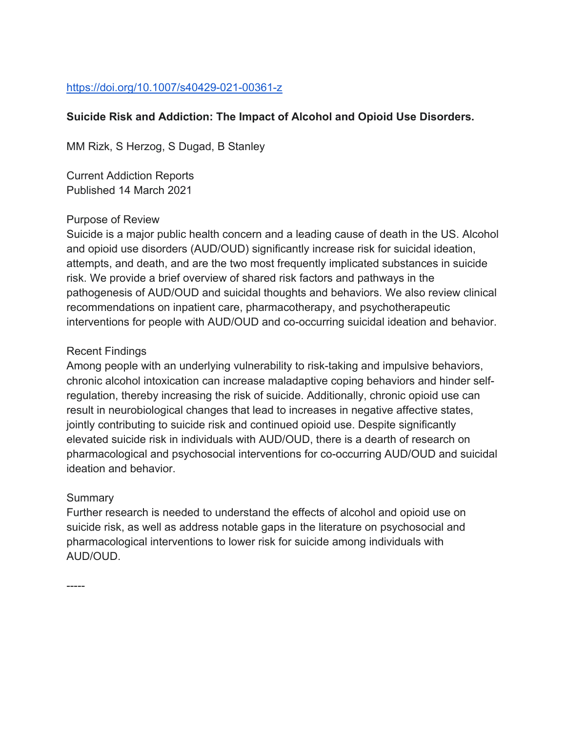# https://doi.org/10.1007/s40429-021-00361-z

### **Suicide Risk and Addiction: The Impact of Alcohol and Opioid Use Disorders.**

MM Rizk, S Herzog, S Dugad, B Stanley

Current Addiction Reports Published 14 March 2021

#### Purpose of Review

Suicide is a major public health concern and a leading cause of death in the US. Alcohol and opioid use disorders (AUD/OUD) significantly increase risk for suicidal ideation, attempts, and death, and are the two most frequently implicated substances in suicide risk. We provide a brief overview of shared risk factors and pathways in the pathogenesis of AUD/OUD and suicidal thoughts and behaviors. We also review clinical recommendations on inpatient care, pharmacotherapy, and psychotherapeutic interventions for people with AUD/OUD and co-occurring suicidal ideation and behavior.

#### Recent Findings

Among people with an underlying vulnerability to risk-taking and impulsive behaviors, chronic alcohol intoxication can increase maladaptive coping behaviors and hinder selfregulation, thereby increasing the risk of suicide. Additionally, chronic opioid use can result in neurobiological changes that lead to increases in negative affective states, jointly contributing to suicide risk and continued opioid use. Despite significantly elevated suicide risk in individuals with AUD/OUD, there is a dearth of research on pharmacological and psychosocial interventions for co-occurring AUD/OUD and suicidal ideation and behavior.

#### **Summary**

Further research is needed to understand the effects of alcohol and opioid use on suicide risk, as well as address notable gaps in the literature on psychosocial and pharmacological interventions to lower risk for suicide among individuals with AUD/OUD.

-----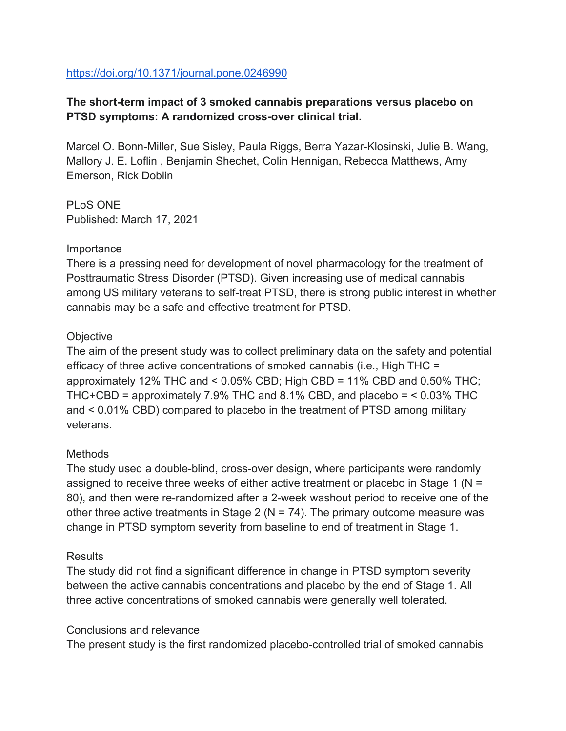#### https://doi.org/10.1371/journal.pone.0246990

# **The short-term impact of 3 smoked cannabis preparations versus placebo on PTSD symptoms: A randomized cross-over clinical trial.**

Marcel O. Bonn-Miller, Sue Sisley, Paula Riggs, Berra Yazar-Klosinski, Julie B. Wang, Mallory J. E. Loflin , Benjamin Shechet, Colin Hennigan, Rebecca Matthews, Amy Emerson, Rick Doblin

PLoS ONE Published: March 17, 2021

#### Importance

There is a pressing need for development of novel pharmacology for the treatment of Posttraumatic Stress Disorder (PTSD). Given increasing use of medical cannabis among US military veterans to self-treat PTSD, there is strong public interest in whether cannabis may be a safe and effective treatment for PTSD.

#### **Objective**

The aim of the present study was to collect preliminary data on the safety and potential efficacy of three active concentrations of smoked cannabis (i.e., High THC = approximately 12% THC and < 0.05% CBD; High CBD = 11% CBD and 0.50% THC; THC+CBD = approximately 7.9% THC and 8.1% CBD, and placebo = < 0.03% THC and < 0.01% CBD) compared to placebo in the treatment of PTSD among military veterans.

### Methods

The study used a double-blind, cross-over design, where participants were randomly assigned to receive three weeks of either active treatment or placebo in Stage 1 (N = 80), and then were re-randomized after a 2-week washout period to receive one of the other three active treatments in Stage 2 ( $N = 74$ ). The primary outcome measure was change in PTSD symptom severity from baseline to end of treatment in Stage 1.

### **Results**

The study did not find a significant difference in change in PTSD symptom severity between the active cannabis concentrations and placebo by the end of Stage 1. All three active concentrations of smoked cannabis were generally well tolerated.

#### Conclusions and relevance

The present study is the first randomized placebo-controlled trial of smoked cannabis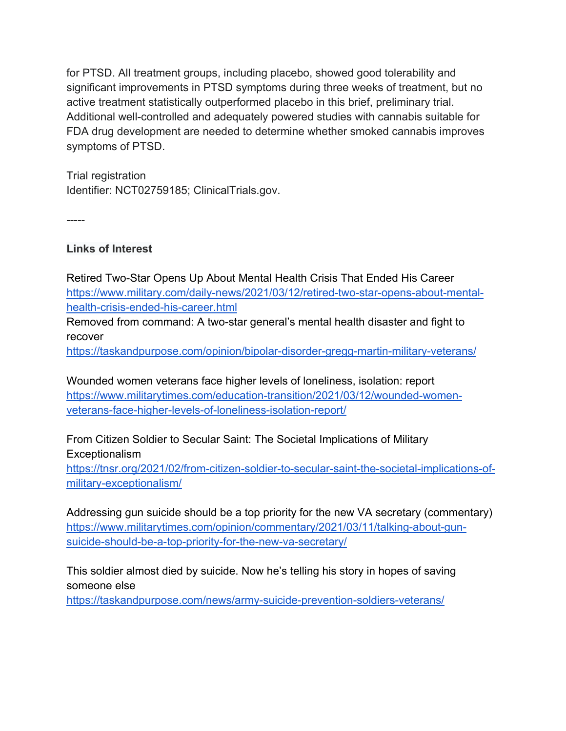for PTSD. All treatment groups, including placebo, showed good tolerability and significant improvements in PTSD symptoms during three weeks of treatment, but no active treatment statistically outperformed placebo in this brief, preliminary trial. Additional well-controlled and adequately powered studies with cannabis suitable for FDA drug development are needed to determine whether smoked cannabis improves symptoms of PTSD.

Trial registration Identifier: NCT02759185; ClinicalTrials.gov.

-----

# **Links of Interest**

Retired Two-Star Opens Up About Mental Health Crisis That Ended His Career https://www.military.com/daily-news/2021/03/12/retired-two-star-opens-about-mentalhealth-crisis-ended-his-career.html

Removed from command: A two-star general's mental health disaster and fight to recover

https://taskandpurpose.com/opinion/bipolar-disorder-gregg-martin-military-veterans/

Wounded women veterans face higher levels of loneliness, isolation: report https://www.militarytimes.com/education-transition/2021/03/12/wounded-womenveterans-face-higher-levels-of-loneliness-isolation-report/

From Citizen Soldier to Secular Saint: The Societal Implications of Military Exceptionalism

https://tnsr.org/2021/02/from-citizen-soldier-to-secular-saint-the-societal-implications-ofmilitary-exceptionalism/

Addressing gun suicide should be a top priority for the new VA secretary (commentary) https://www.militarytimes.com/opinion/commentary/2021/03/11/talking-about-gunsuicide-should-be-a-top-priority-for-the-new-va-secretary/

This soldier almost died by suicide. Now he's telling his story in hopes of saving someone else

https://taskandpurpose.com/news/army-suicide-prevention-soldiers-veterans/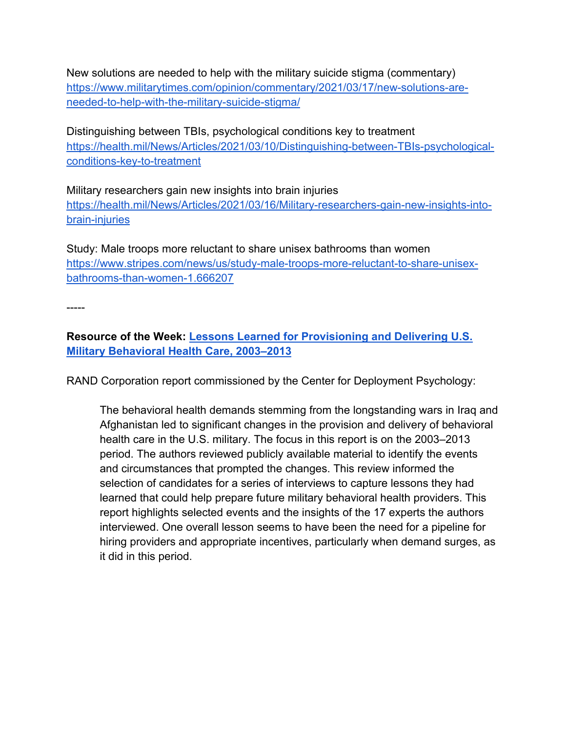New solutions are needed to help with the military suicide stigma (commentary) https://www.militarytimes.com/opinion/commentary/2021/03/17/new-solutions-areneeded-to-help-with-the-military-suicide-stigma/

Distinguishing between TBIs, psychological conditions key to treatment https://health.mil/News/Articles/2021/03/10/Distinguishing-between-TBIs-psychologicalconditions-key-to-treatment

Military researchers gain new insights into brain injuries https://health.mil/News/Articles/2021/03/16/Military-researchers-gain-new-insights-intobrain-injuries

Study: Male troops more reluctant to share unisex bathrooms than women https://www.stripes.com/news/us/study-male-troops-more-reluctant-to-share-unisexbathrooms-than-women-1.666207

-----

# **Resource of the Week: Lessons Learned for Provisioning and Delivering U.S. Military Behavioral Health Care, 2003–2013**

RAND Corporation report commissioned by the Center for Deployment Psychology:

The behavioral health demands stemming from the longstanding wars in Iraq and Afghanistan led to significant changes in the provision and delivery of behavioral health care in the U.S. military. The focus in this report is on the 2003–2013 period. The authors reviewed publicly available material to identify the events and circumstances that prompted the changes. This review informed the selection of candidates for a series of interviews to capture lessons they had learned that could help prepare future military behavioral health providers. This report highlights selected events and the insights of the 17 experts the authors interviewed. One overall lesson seems to have been the need for a pipeline for hiring providers and appropriate incentives, particularly when demand surges, as it did in this period.